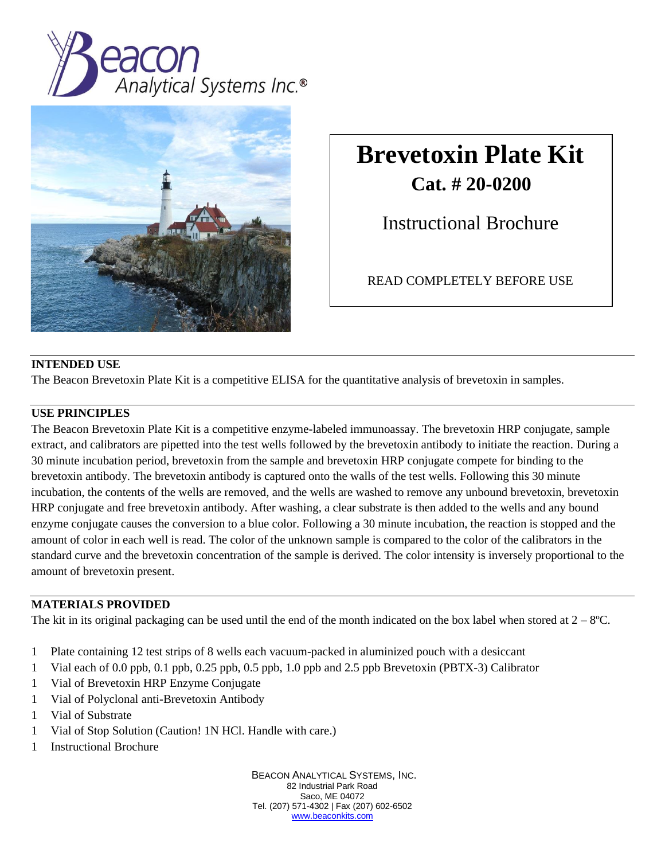



# **Brevetoxin Plate Kit Cat. # 20-0200**

Instructional Brochure

READ COMPLETELY BEFORE USE

## **INTENDED USE**

The Beacon Brevetoxin Plate Kit is a competitive ELISA for the quantitative analysis of brevetoxin in samples.

## **USE PRINCIPLES**

The Beacon Brevetoxin Plate Kit is a competitive enzyme-labeled immunoassay. The brevetoxin HRP conjugate, sample extract, and calibrators are pipetted into the test wells followed by the brevetoxin antibody to initiate the reaction. During a 30 minute incubation period, brevetoxin from the sample and brevetoxin HRP conjugate compete for binding to the brevetoxin antibody. The brevetoxin antibody is captured onto the walls of the test wells. Following this 30 minute incubation, the contents of the wells are removed, and the wells are washed to remove any unbound brevetoxin, brevetoxin HRP conjugate and free brevetoxin antibody. After washing, a clear substrate is then added to the wells and any bound enzyme conjugate causes the conversion to a blue color. Following a 30 minute incubation, the reaction is stopped and the amount of color in each well is read. The color of the unknown sample is compared to the color of the calibrators in the standard curve and the brevetoxin concentration of the sample is derived. The color intensity is inversely proportional to the amount of brevetoxin present.

#### **MATERIALS PROVIDED**

The kit in its original packaging can be used until the end of the month indicated on the box label when stored at  $2-8$ °C.

- 1 Plate containing 12 test strips of 8 wells each vacuum-packed in aluminized pouch with a desiccant
- 1 Vial each of 0.0 ppb, 0.1 ppb, 0.25 ppb, 0.5 ppb, 1.0 ppb and 2.5 ppb Brevetoxin (PBTX-3) Calibrator
- 1 Vial of Brevetoxin HRP Enzyme Conjugate
- 1 Vial of Polyclonal anti-Brevetoxin Antibody
- 1 Vial of Substrate
- 1 Vial of Stop Solution (Caution! 1N HCl. Handle with care.)
- 1 Instructional Brochure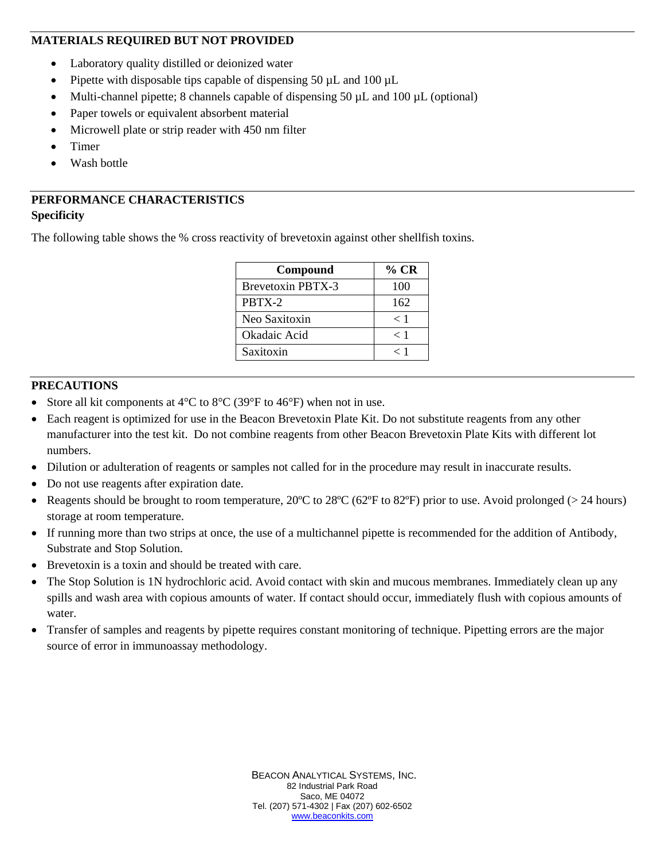#### **MATERIALS REQUIRED BUT NOT PROVIDED**

- Laboratory quality distilled or deionized water
- Pipette with disposable tips capable of dispensing 50 µL and 100 µL
- Multi-channel pipette; 8 channels capable of dispensing  $50 \mu L$  and  $100 \mu L$  (optional)
- Paper towels or equivalent absorbent material
- Microwell plate or strip reader with 450 nm filter
- Timer
- Wash bottle

# **PERFORMANCE CHARACTERISTICS Specificity**

The following table shows the % cross reactivity of brevetoxin against other shellfish toxins.

| Compound                 | $\%$ CR |
|--------------------------|---------|
| <b>Brevetoxin PBTX-3</b> | 100     |
| PRTX-2                   | 162     |
| Neo Saxitoxin            | < 1     |
| Okadaic Acid             | < 1     |
| Saxitoxin                | < 1     |

## **PRECAUTIONS**

- Store all kit components at  $4^{\circ}$ C to  $8^{\circ}$ C (39 $^{\circ}$ F to  $46^{\circ}$ F) when not in use.
- Each reagent is optimized for use in the Beacon Brevetoxin Plate Kit. Do not substitute reagents from any other manufacturer into the test kit. Do not combine reagents from other Beacon Brevetoxin Plate Kits with different lot numbers.
- Dilution or adulteration of reagents or samples not called for in the procedure may result in inaccurate results.
- Do not use reagents after expiration date.
- Reagents should be brought to room temperature,  $20^{\circ}$ C to  $28^{\circ}$ C (62 $^{\circ}$ F to 82 $^{\circ}$ F) prior to use. Avoid prolonged (> 24 hours) storage at room temperature.
- If running more than two strips at once, the use of a multichannel pipette is recommended for the addition of Antibody, Substrate and Stop Solution.
- Brevetoxin is a toxin and should be treated with care.
- The Stop Solution is 1N hydrochloric acid. Avoid contact with skin and mucous membranes. Immediately clean up any spills and wash area with copious amounts of water. If contact should occur, immediately flush with copious amounts of water.
- Transfer of samples and reagents by pipette requires constant monitoring of technique. Pipetting errors are the major source of error in immunoassay methodology.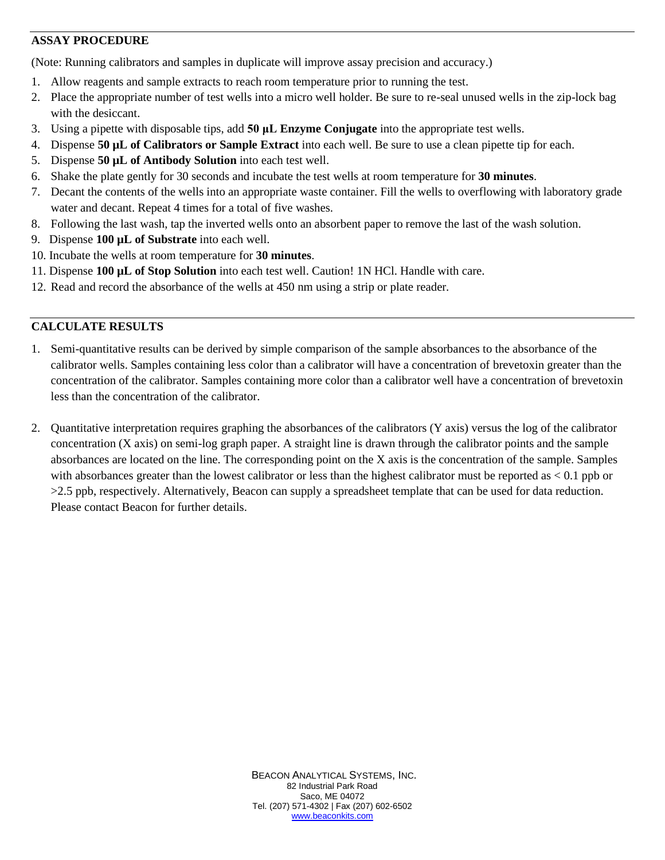## **ASSAY PROCEDURE**

(Note: Running calibrators and samples in duplicate will improve assay precision and accuracy.)

- 1. Allow reagents and sample extracts to reach room temperature prior to running the test.
- 2. Place the appropriate number of test wells into a micro well holder. Be sure to re-seal unused wells in the zip-lock bag with the desiccant.
- 3. Using a pipette with disposable tips, add **50 μL Enzyme Conjugate** into the appropriate test wells.
- 4. Dispense **50 µL of Calibrators or Sample Extract** into each well. Be sure to use a clean pipette tip for each.
- 5. Dispense **50 µL of Antibody Solution** into each test well.
- 6. Shake the plate gently for 30 seconds and incubate the test wells at room temperature for **30 minutes**.
- 7. Decant the contents of the wells into an appropriate waste container. Fill the wells to overflowing with laboratory grade water and decant. Repeat 4 times for a total of five washes.
- 8. Following the last wash, tap the inverted wells onto an absorbent paper to remove the last of the wash solution.
- 9. Dispense **100 µL of Substrate** into each well.
- 10. Incubate the wells at room temperature for **30 minutes**.
- 11. Dispense **100 µL of Stop Solution** into each test well. Caution! 1N HCl. Handle with care.
- 12. Read and record the absorbance of the wells at 450 nm using a strip or plate reader.

#### **CALCULATE RESULTS**

- 1. Semi-quantitative results can be derived by simple comparison of the sample absorbances to the absorbance of the calibrator wells. Samples containing less color than a calibrator will have a concentration of brevetoxin greater than the concentration of the calibrator. Samples containing more color than a calibrator well have a concentration of brevetoxin less than the concentration of the calibrator.
- 2. Quantitative interpretation requires graphing the absorbances of the calibrators (Y axis) versus the log of the calibrator concentration (X axis) on semi-log graph paper. A straight line is drawn through the calibrator points and the sample absorbances are located on the line. The corresponding point on the X axis is the concentration of the sample. Samples with absorbances greater than the lowest calibrator or less than the highest calibrator must be reported as  $< 0.1$  ppb or >2.5 ppb, respectively. Alternatively, Beacon can supply a spreadsheet template that can be used for data reduction. Please contact Beacon for further details.